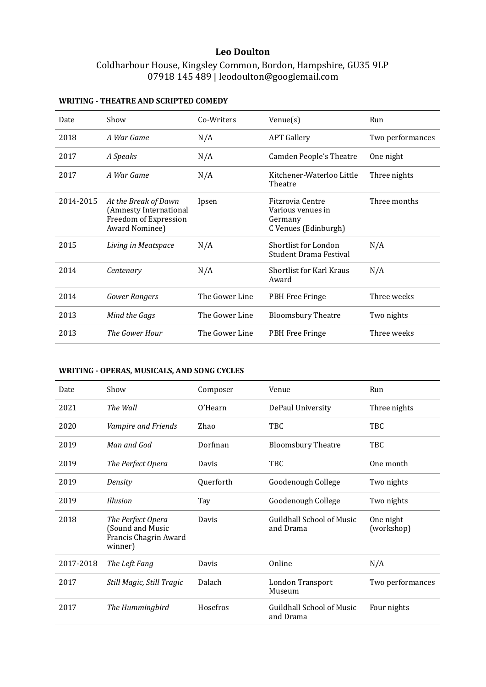# **Leo Doulton**

# Coldharbour House, Kingsley Common, Bordon, Hampshire, GU35 9LP 07918 145 489 | leodoulton@googlemail.com

| Date      | Show                                                                                      | Co-Writers     | $V$ enue $(s)$                                                           | Run              |
|-----------|-------------------------------------------------------------------------------------------|----------------|--------------------------------------------------------------------------|------------------|
| 2018      | A War Game                                                                                | N/A            | <b>APT Gallery</b>                                                       | Two performances |
| 2017      | A Speaks                                                                                  | N/A            | <b>Camden People's Theatre</b>                                           | One night        |
| 2017      | A War Game                                                                                | N/A            | Kitchener-Waterloo Little<br>Theatre                                     | Three nights     |
| 2014-2015 | At the Break of Dawn<br>(Amnesty International<br>Freedom of Expression<br>Award Nominee) | Ipsen          | Fitzrovia Centre<br>Various venues in<br>Germany<br>C Venues (Edinburgh) | Three months     |
| 2015      | Living in Meatspace                                                                       | N/A            | Shortlist for London<br><b>Student Drama Festival</b>                    | N/A              |
| 2014      | Centenary                                                                                 | N/A            | <b>Shortlist for Karl Kraus</b><br>Award                                 | N/A              |
| 2014      | <b>Gower Rangers</b>                                                                      | The Gower Line | PBH Free Fringe                                                          | Three weeks      |
| 2013      | Mind the Gags                                                                             | The Gower Line | <b>Bloomsbury Theatre</b>                                                | Two nights       |
| 2013      | The Gower Hour                                                                            | The Gower Line | PBH Free Fringe                                                          | Three weeks      |

# **WRITING - THEATRE AND SCRIPTED COMEDY**

# WRITING - OPERAS, MUSICALS, AND SONG CYCLES

| Date      | Show                                                                      | Composer  | Venue                                         | Run                     |
|-----------|---------------------------------------------------------------------------|-----------|-----------------------------------------------|-------------------------|
| 2021      | The Wall                                                                  | O'Hearn   | DePaul University                             | Three nights            |
| 2020      | Vampire and Friends                                                       | Zhao      | TBC                                           | TBC                     |
| 2019      | Man and God                                                               | Dorfman   | <b>Bloomsbury Theatre</b>                     | TBC                     |
| 2019      | The Perfect Opera                                                         | Davis     | TBC                                           | One month               |
| 2019      | Density                                                                   | Querforth | Goodenough College                            | Two nights              |
| 2019      | <b>Illusion</b>                                                           | Tay       | Goodenough College                            | Two nights              |
| 2018      | The Perfect Opera<br>(Sound and Music<br>Francis Chagrin Award<br>winner) | Davis     | Guildhall School of Music<br>and Drama        | One night<br>(workshop) |
| 2017-2018 | The Left Fang                                                             | Davis     | Online                                        | N/A                     |
| 2017      | Still Magic, Still Tragic                                                 | Dalach    | London Transport<br>Museum                    | Two performances        |
| 2017      | The Hummingbird                                                           | Hosefros  | <b>Guildhall School of Music</b><br>and Drama | Four nights             |